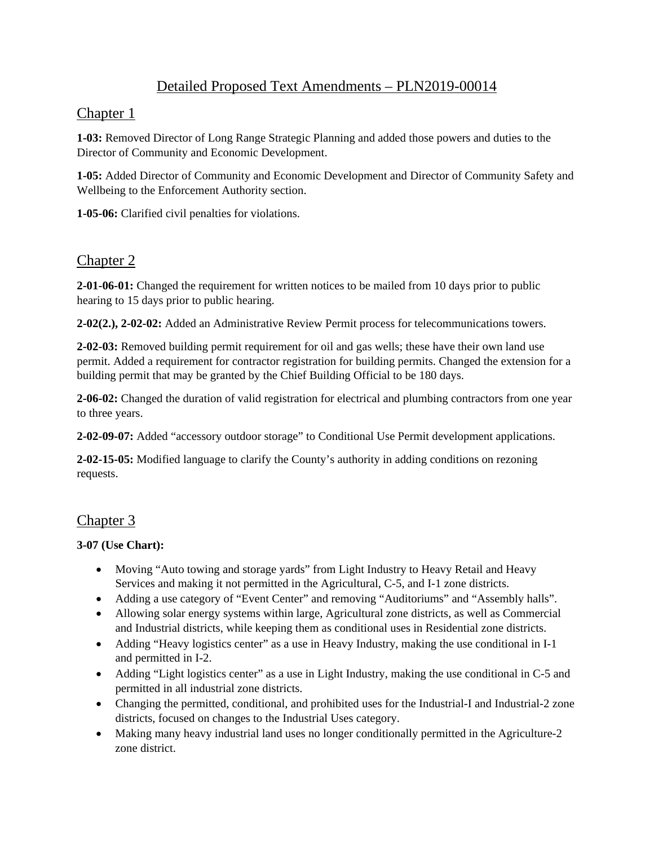# Detailed Proposed Text Amendments – PLN2019-00014

### Chapter 1

**1-03:** Removed Director of Long Range Strategic Planning and added those powers and duties to the Director of Community and Economic Development.

**1-05:** Added Director of Community and Economic Development and Director of Community Safety and Wellbeing to the Enforcement Authority section.

**1-05-06:** Clarified civil penalties for violations.

## Chapter 2

**2-01-06-01:** Changed the requirement for written notices to be mailed from 10 days prior to public hearing to 15 days prior to public hearing.

**2-02(2.), 2-02-02:** Added an Administrative Review Permit process for telecommunications towers.

**2-02-03:** Removed building permit requirement for oil and gas wells; these have their own land use permit. Added a requirement for contractor registration for building permits. Changed the extension for a building permit that may be granted by the Chief Building Official to be 180 days.

**2-06-02:** Changed the duration of valid registration for electrical and plumbing contractors from one year to three years.

**2-02-09-07:** Added "accessory outdoor storage" to Conditional Use Permit development applications.

**2-02-15-05:** Modified language to clarify the County's authority in adding conditions on rezoning requests.

## Chapter 3

#### **3-07 (Use Chart):**

- Moving "Auto towing and storage yards" from Light Industry to Heavy Retail and Heavy Services and making it not permitted in the Agricultural, C-5, and I-1 zone districts.
- Adding a use category of "Event Center" and removing "Auditoriums" and "Assembly halls".
- Allowing solar energy systems within large, Agricultural zone districts, as well as Commercial and Industrial districts, while keeping them as conditional uses in Residential zone districts.
- Adding "Heavy logistics center" as a use in Heavy Industry, making the use conditional in I-1 and permitted in I-2.
- Adding "Light logistics center" as a use in Light Industry, making the use conditional in C-5 and permitted in all industrial zone districts.
- Changing the permitted, conditional, and prohibited uses for the Industrial-I and Industrial-2 zone districts, focused on changes to the Industrial Uses category.
- Making many heavy industrial land uses no longer conditionally permitted in the Agriculture-2 zone district.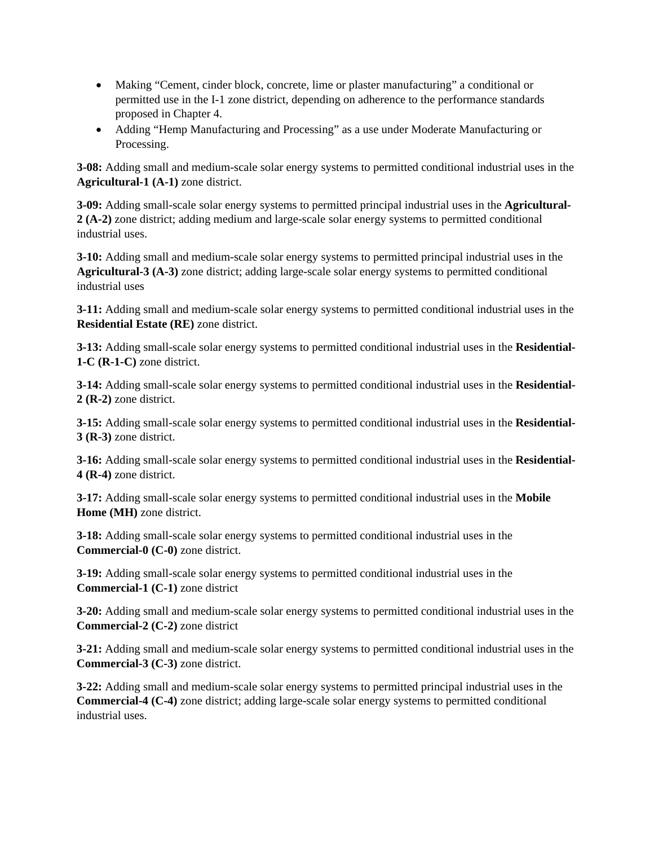- Making "Cement, cinder block, concrete, lime or plaster manufacturing" a conditional or permitted use in the I-1 zone district, depending on adherence to the performance standards proposed in Chapter 4.
- Adding "Hemp Manufacturing and Processing" as a use under Moderate Manufacturing or Processing.

**3-08:** Adding small and medium-scale solar energy systems to permitted conditional industrial uses in the **Agricultural-1 (A-1)** zone district.

**3-09:** Adding small-scale solar energy systems to permitted principal industrial uses in the **Agricultural-2 (A-2)** zone district; adding medium and large-scale solar energy systems to permitted conditional industrial uses.

**3-10:** Adding small and medium-scale solar energy systems to permitted principal industrial uses in the **Agricultural-3 (A-3)** zone district; adding large-scale solar energy systems to permitted conditional industrial uses

**3-11:** Adding small and medium-scale solar energy systems to permitted conditional industrial uses in the **Residential Estate (RE)** zone district.

**3-13:** Adding small-scale solar energy systems to permitted conditional industrial uses in the **Residential-1-C (R-1-C)** zone district.

**3-14:** Adding small-scale solar energy systems to permitted conditional industrial uses in the **Residential-2 (R-2)** zone district.

**3-15:** Adding small-scale solar energy systems to permitted conditional industrial uses in the **Residential-3 (R-3)** zone district.

**3-16:** Adding small-scale solar energy systems to permitted conditional industrial uses in the **Residential-4 (R-4)** zone district.

**3-17:** Adding small-scale solar energy systems to permitted conditional industrial uses in the **Mobile Home (MH)** zone district.

**3-18:** Adding small-scale solar energy systems to permitted conditional industrial uses in the **Commercial-0 (C-0)** zone district.

**3-19:** Adding small-scale solar energy systems to permitted conditional industrial uses in the **Commercial-1 (C-1)** zone district

**3-20:** Adding small and medium-scale solar energy systems to permitted conditional industrial uses in the **Commercial-2 (C-2)** zone district

**3-21:** Adding small and medium-scale solar energy systems to permitted conditional industrial uses in the **Commercial-3 (C-3)** zone district.

**3-22:** Adding small and medium-scale solar energy systems to permitted principal industrial uses in the **Commercial-4 (C-4)** zone district; adding large-scale solar energy systems to permitted conditional industrial uses.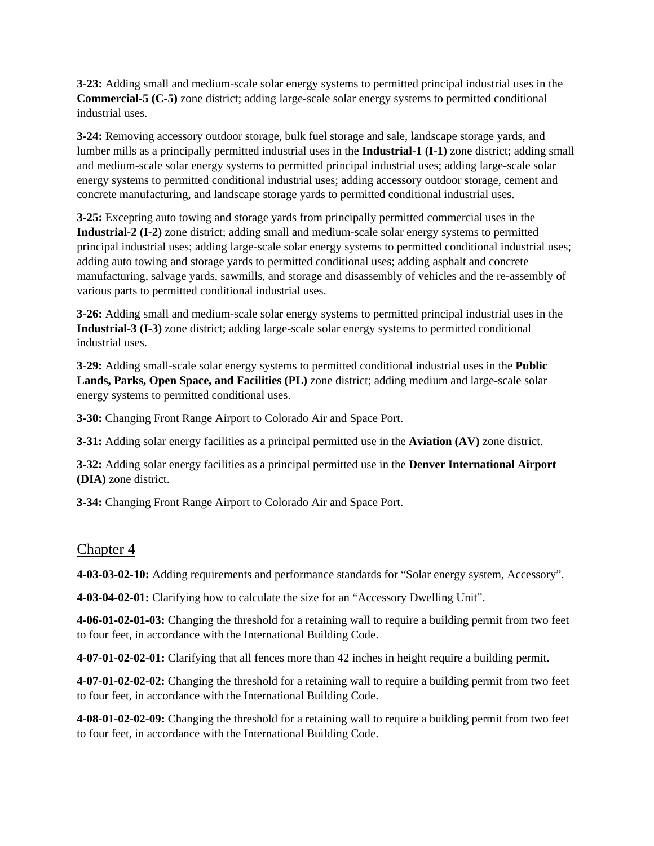**3-23:** Adding small and medium-scale solar energy systems to permitted principal industrial uses in the **Commercial-5 (C-5)** zone district; adding large-scale solar energy systems to permitted conditional industrial uses.

**3-24:** Removing accessory outdoor storage, bulk fuel storage and sale, landscape storage yards, and lumber mills as a principally permitted industrial uses in the **Industrial-1 (I-1)** zone district; adding small and medium-scale solar energy systems to permitted principal industrial uses; adding large-scale solar energy systems to permitted conditional industrial uses; adding accessory outdoor storage, cement and concrete manufacturing, and landscape storage yards to permitted conditional industrial uses.

**3-25:** Excepting auto towing and storage yards from principally permitted commercial uses in the **Industrial-2 (I-2)** zone district; adding small and medium-scale solar energy systems to permitted principal industrial uses; adding large-scale solar energy systems to permitted conditional industrial uses; adding auto towing and storage yards to permitted conditional uses; adding asphalt and concrete manufacturing, salvage yards, sawmills, and storage and disassembly of vehicles and the re-assembly of various parts to permitted conditional industrial uses.

**3-26:** Adding small and medium-scale solar energy systems to permitted principal industrial uses in the **Industrial-3 (I-3)** zone district; adding large-scale solar energy systems to permitted conditional industrial uses.

**3-29:** Adding small-scale solar energy systems to permitted conditional industrial uses in the **Public Lands, Parks, Open Space, and Facilities (PL)** zone district; adding medium and large-scale solar energy systems to permitted conditional uses.

**3-30:** Changing Front Range Airport to Colorado Air and Space Port.

**3-31:** Adding solar energy facilities as a principal permitted use in the **Aviation (AV)** zone district.

**3-32:** Adding solar energy facilities as a principal permitted use in the **Denver International Airport (DIA)** zone district.

**3-34:** Changing Front Range Airport to Colorado Air and Space Port.

### Chapter 4

**4-03-03-02-10:** Adding requirements and performance standards for "Solar energy system, Accessory".

**4-03-04-02-01:** Clarifying how to calculate the size for an "Accessory Dwelling Unit".

**4-06-01-02-01-03:** Changing the threshold for a retaining wall to require a building permit from two feet to four feet, in accordance with the International Building Code.

**4-07-01-02-02-01:** Clarifying that all fences more than 42 inches in height require a building permit.

**4-07-01-02-02-02:** Changing the threshold for a retaining wall to require a building permit from two feet to four feet, in accordance with the International Building Code.

**4-08-01-02-02-09:** Changing the threshold for a retaining wall to require a building permit from two feet to four feet, in accordance with the International Building Code.